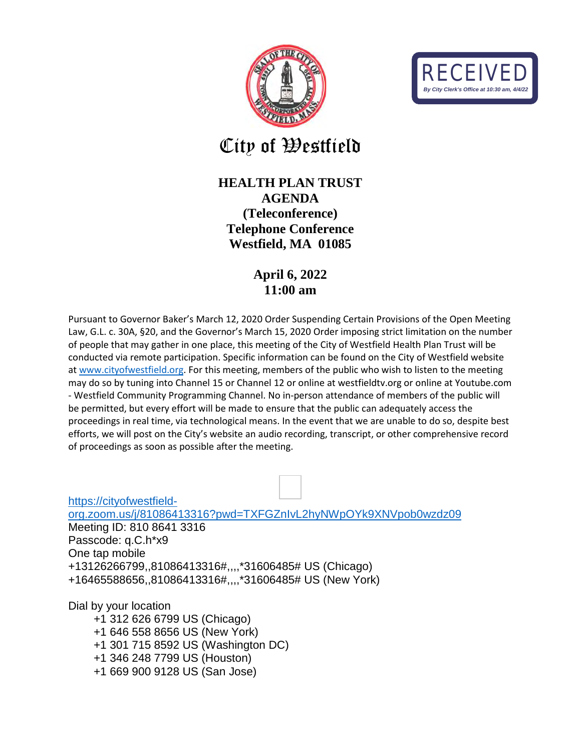



City of Westfield

## **HEALTH PLAN TRUST AGENDA (Teleconference) Telephone Conference Westfield, MA 01085**

## **April 6, 2022 11:00 am**

Pursuant to Governor Baker's March 12, 2020 Order Suspending Certain Provisions of the Open Meeting Law, G.L. c. 30A, §20, and the Governor's March 15, 2020 Order imposing strict limitation on the number of people that may gather in one place, this meeting of the City of Westfield Health Plan Trust will be conducted via remote participation. Specific information can be found on the City of Westfield website at [www.cityofwestfield.org.](http://www.cityofwestfield.org/) For this meeting, members of the public who wish to listen to the meeting may do so by tuning into Channel 15 or Channel 12 or online at westfieldtv.org or online at Youtube.com - Westfield Community Programming Channel. No in-person attendance of members of the public will be permitted, but every effort will be made to ensure that the public can adequately access the proceedings in real time, via technological means. In the event that we are unable to do so, despite best efforts, we will post on the City's website an audio recording, transcript, or other comprehensive record of proceedings as soon as possible after the meeting.

[https://cityofwestfield](https://cityofwestfield-org.zoom.us/j/81086413316?pwd=TXFGZnIvL2hyNWpOYk9XNVpob0wzdz09)[org.zoom.us/j/81086413316?pwd=TXFGZnIvL2hyNWpOYk9XNVpob0wzdz09](https://cityofwestfield-org.zoom.us/j/81086413316?pwd=TXFGZnIvL2hyNWpOYk9XNVpob0wzdz09) Meeting ID: 810 8641 3316 Passcode: q.C.h\*x9 One tap mobile +13126266799,,81086413316#,,,,\*31606485# US (Chicago) +16465588656,,81086413316#,,,,\*31606485# US (New York)

Dial by your location

 +1 312 626 6799 US (Chicago) +1 646 558 8656 US (New York) +1 301 715 8592 US (Washington DC) +1 346 248 7799 US (Houston) +1 669 900 9128 US (San Jose)